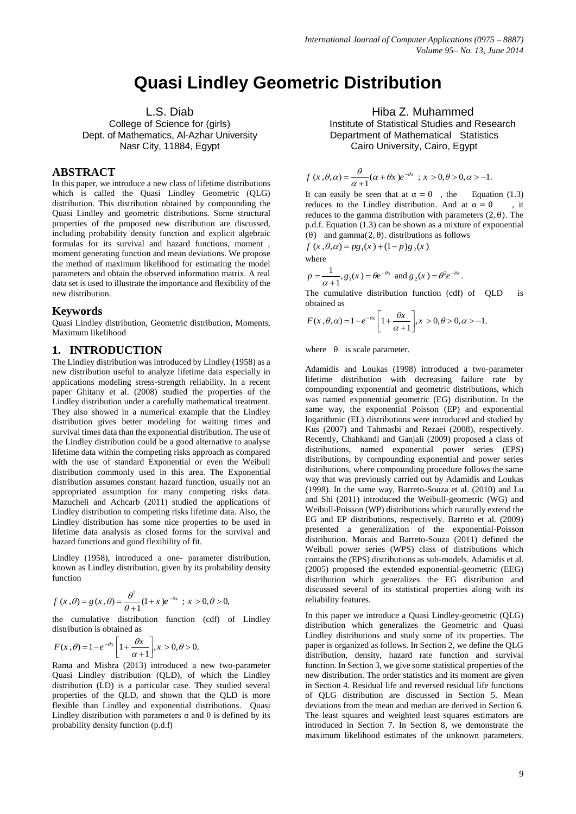# **Quasi Lindley Geometric Distribution**

## L.S. Diab

College of Science for (girls) Dept. of Mathematics, Al-Azhar University Nasr City, 11884, Egypt

#### **ABSTRACT**

In this paper, we introduce a new class of lifetime distributions which is called the Quasi Lindley Geometric (QLG) distribution. This distribution obtained by compounding the Quasi Lindley and geometric distributions. Some structural properties of the proposed new distribution are discussed, including probability density function and explicit algebraic formulas for its survival and hazard functions, moment , moment generating function and mean deviations. We propose the method of maximum likelihood for estimating the model parameters and obtain the observed information matrix. A real data set is used to illustrate the importance and flexibility of the new distribution.

#### **Keywords**

Quasi Lindley distribution, Geometric distribution, Moments, Maximum likelihood

## **1. INTRODUCTION**

The Lindley distribution was introduced by Lindley (1958) as a new distribution useful to analyze lifetime data especially in applications modeling stress-strength reliability. In a recent paper Ghitany et al. (2008) studied the properties of the Lindley distribution under a carefully mathematical treatment. They also showed in a numerical example that the Lindley distribution gives better modeling for waiting times and survival times data than the exponential distribution. The use of the Lindley distribution could be a good alternative to analyse lifetime data within the competing risks approach as compared with the use of standard Exponential or even the Weibull distribution commonly used in this area. The Exponential distribution assumes constant hazard function, usually not an appropriated assumption for many competing risks data. Mazucheli and Achcarb (2011) studied the applications of Lindley distribution to competing risks lifetime data. Also, the Lindley distribution has some nice properties to be used in lifetime data analysis as closed forms for the survival and hazard functions and good flexibility of fit.

Lindley (1958), introduced a one- parameter distribution, known as Lindley distribution, given by its probability density function

$$
f(x, \theta) = g(x, \theta) = \frac{\theta^2}{\theta + 1} (1 + x) e^{-\theta x}
$$
;  $x > 0, \theta > 0$ ,

the cumulative distribution function (cdf) of Lindley

distribution is obtained as  
\n
$$
F(x, \theta) = 1 - e^{-\theta x} \left[ 1 + \frac{\theta x}{\alpha + 1} \right], x > 0, \theta > 0.
$$

Rama and Mishra (2013) introduced a new two-parameter Quasi Lindley distribution (QLD), of which the Lindley distribution (LD) is a particular case. They studied several properties of the QLD, and shown that the QLD is more flexible than Lindley and exponential distributions. Quasi Lindley distribution with parameters  $\alpha$  and  $\theta$  is defined by its probability density function (p.d.f)

Hiba Z. Muhammed

Institute of Statistical Studies and Research Department of Mathematical Statistics Cairo University, Cairo, Egypt

$$
f(x,\theta,\alpha) = \frac{\theta}{\alpha+1}(\alpha+\theta x)e^{-\theta x} \, ; \, x > 0, \theta > 0, \alpha > -1.
$$

It can easily be seen that at  $\alpha = \theta$ , the Equation (1.3) reduces to the Lindley distribution. And at  $\alpha = 0$ , it reduces to the gamma distribution with parameters  $(2, \theta)$ . The p.d.f. Equation (1.3) can be shown as a mixture of exponential ( $\theta$ ) and gamma(2,  $\theta$ ). distributions as follows<br>  $f(x, \theta, \alpha) = pg_1(x) + (1-p)g_2(x)$ 

$$
f(x, \theta, \alpha) = pg_1(x) + (1 - p)g_2(x)
$$

where

$$
p = \frac{1}{\alpha + 1}
$$
,  $g_1(x) = \theta e^{-\theta x}$  and  $g_2(x) = \theta^2 e^{-\theta x}$ .

The cumulative distribution function (cdf) of QLD is obtained as

obtained as  

$$
F(x, \theta, \alpha) = 1 - e^{-\theta x} \left[ 1 + \frac{\theta x}{\alpha + 1} \right], x > 0, \theta > 0, \alpha > -1.
$$

where  $\theta$  is scale parameter.

Adamidis and Loukas (1998) introduced a two-parameter lifetime distribution with decreasing failure rate by compounding exponential and geometric distributions, which was named exponential geometric (EG) distribution. In the same way, the exponential Poisson (EP) and exponential logarithmic (EL) distributions were introduced and studied by Kus (2007) and Tahmasbi and Rezaei (2008), respectively. Recently, Chahkandi and Ganjali (2009) proposed a class of distributions, named exponential power series (EPS) distributions, by compounding exponential and power series distributions, where compounding procedure follows the same way that was previously carried out by Adamidis and Loukas (1998). In the same way, Barreto-Souza et al. (2010) and Lu and Shi (2011) introduced the Weibull-geometric (WG) and Weibull-Poisson (WP) distributions which naturally extend the EG and EP distributions, respectively. Barreto et al. (2009) presented a generalization of the exponential-Poisson distribution. Morais and Barreto-Souza (2011) defined the Weibull power series (WPS) class of distributions which contains the (EPS) distributions as sub-models. Adamidis et al. (2005) proposed the extended exponential-geometric (EEG) distribution which generalizes the EG distribution and discussed several of its statistical properties along with its reliability features.

In this paper we introduce a Quasi Lindley-geometric (QLG) distribution which generalizes the Geometric and Quasi Lindley distributions and study some of its properties. The paper is organized as follows. In Section 2, we define the QLG distribution, density, hazard rate function and survival function. In Section 3, we give some statistical properties of the new distribution. The order statistics and its moment are given in Section 4. Residual life and reversed residual life functions of QLG distribution are discussed in Section 5. Mean deviations from the mean and median are derived in Section 6. The least squares and weighted least squares estimators are introduced in Section 7. In Section 8, we demonstrate the maximum likelihood estimates of the unknown parameters.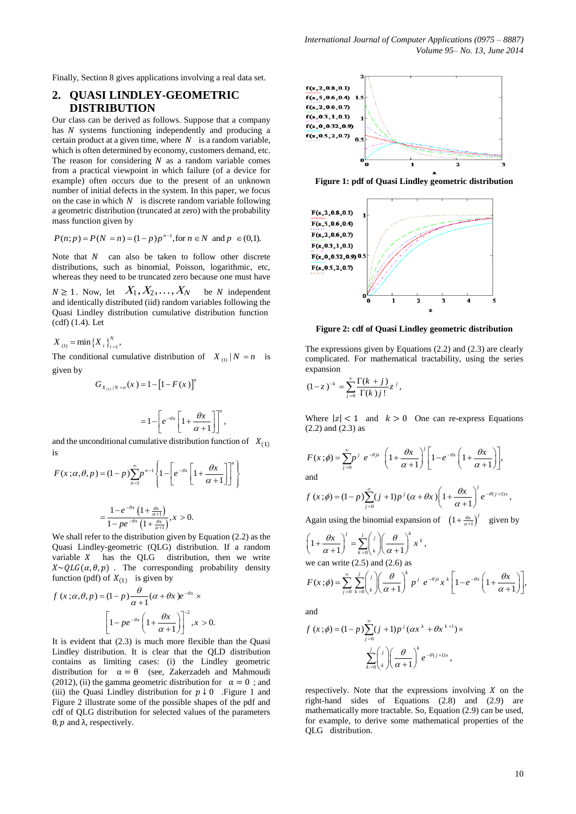Finally, Section 8 gives applications involving a real data set.

## **2. QUASI LINDLEY-GEOMETRIC DISTRIBUTION**

Our class can be derived as follows. Suppose that a company has  $N$  systems functioning independently and producing a certain product at a given time, where  $N$  is a random variable, which is often determined by economy, customers demand, etc. The reason for considering  $N$  as a random variable comes from a practical viewpoint in which failure (of a device for example) often occurs due to the present of an unknown number of initial defects in the system. In this paper, we focus on the case in which  $N$  is discrete random variable following a geometric distribution (truncated at zero) with the probability mass function given by

mass function given by  
\n
$$
P(n; p) = P(N = n) = (1-p)p^{n-1}, \text{for } n \in N \text{ and } p \in (0,1).
$$

Note that  $N$  can also be taken to follow other discrete distributions, such as binomial, Poisson, logarithmic, etc, whereas they need to be truncated zero because one must have

 $N \geq 1$ . Now, let  $X_1, X_2, \ldots, X_N$  be N independent and identically distributed (iid) random variables following the Quasi Lindley distribution cumulative distribution function (cdf) (1.4). Let

 $X_{(1)} = \min\{X_i\}_{i=1}^N$ 

The conditional cumulative distribution of  $X_{(1)} | N = n$  is given by

$$
G_{X_{(1)}|N=n}(x) = 1 - [1 - F(x)]^{n}
$$

$$
=1-\left[e^{-\theta x}\left[1+\frac{\theta x}{\alpha+1}\right]\right]^{n},
$$

and the unconditional cumulative distribution function of  $X_{(1)}$ is

is  
\n
$$
F(x;\alpha,\theta,p) = (1-p)\sum_{n=1}^{\infty} p^{n-1} \left\{ 1 - \left[ e^{-\theta x} \left[ 1 + \frac{\theta x}{\alpha+1} \right] \right]^n \right\}
$$
\n
$$
- \frac{1 - e^{-\theta x} \left( 1 + \frac{\theta x}{\alpha+1} \right)}{\alpha+1} \quad x > 0
$$

$$
=\frac{1-e^{-\theta x}\left(1+\frac{\theta x}{\alpha+1}\right)}{1-pe^{-\theta x}\left(1+\frac{\theta x}{\alpha+1}\right)},x>0.
$$

We shall refer to the distribution given by Equation (2.2) as the Quasi Lindley-geometric (QLG) distribution. If a random variable  $X$  has the QLG distribution, then we write  $X \sim QLG(\alpha, \theta, p)$ . The corresponding probability density function (pdf) of  $X_{(1)}$  is given by

$$
f(x;\alpha,\theta,p) = (1-p)\frac{\theta}{\alpha+1}(\alpha+\theta x)e^{-\theta x} \times
$$

$$
\left[1 - pe^{-\theta x}\left(1 + \frac{\theta x}{\alpha+1}\right)\right]^{-2}, x > 0.
$$

It is evident that (2.3) is much more flexible than the Quasi Lindley distribution. It is clear that the QLD distribution contains as limiting cases: (i) the Lindley geometric distribution for  $\alpha = \theta$  (see, Zakerzadeh and Mahmoudi (2012), (ii) the gamma geometric distribution for  $\alpha = 0$ ; and (iii) the Quasi Lindley distribution for  $p \downarrow 0$  . Figure 1 and Figure 2 illustrate some of the possible shapes of the pdf and cdf of QLG distribution for selected values of the parameters  $θ$ , *p* and  $λ$ , respectively.



**Figure 1: pdf of Quasi Lindley geometric distribution**



**Figure 2: cdf of Quasi Lindley geometric distribution**

The expressions given by Equations (2.2) and (2.3) are clearly complicated. For mathematical tractability, using the series expansion

$$
(1-z)^{-k} = \sum_{j=0}^{\infty} \frac{\Gamma(k+j)}{\Gamma(k)j!} z^j,
$$

Where  $|z| < 1$  and  $k > 0$  One can re-express Equations (2.2) and (2.3) as

$$
F(x; \phi) = \sum_{j=0}^{\infty} p^j e^{-\theta j x} \left( 1 + \frac{\theta x}{\alpha + 1} \right)^j \left[ 1 - e^{-\theta x} \left( 1 + \frac{\theta x}{\alpha + 1} \right) \right],
$$
  
and

and  
\n
$$
f(x;\phi) = (1-p)\sum_{j=0}^{\infty} (j+1)p^{j} (\alpha + \theta x)\left(1 + \frac{\theta x}{\alpha + 1}\right)^{j} e^{-\theta(j+1)x},
$$

Again using the binomial expansion of  $\left(1 + \frac{\theta x}{\alpha + 1}\right)^j$  given by

 $\left(1+\frac{\theta x}{\alpha+1}\right)^j=\sum_{k=0}^j \binom{j}{k}\left(\frac{\theta}{\alpha+1}\right)^k x^k,$  $\int_{-\infty}^{j} f(x) dx \, dx$  $\overline{k=0}$   $\left\langle k \right\rangle$  $\left(\frac{\theta x}{\theta}\right)^j = \sum_{i=1}^j \left(\frac{i}{n}\right)^j \left(\frac{\theta}{\theta}\right)^k x$  $\left(1+\frac{\theta x}{\alpha+1}\right)^j = \sum_{k=0}^j \binom{j}{k} \left(\frac{\theta}{\alpha+1}\right)^k x$ 

we can write (2.5) and (2.6) as  
\n
$$
F(x;\phi) = \sum_{j=0}^{\infty} \sum_{k=0}^{j} {j \choose k} \left( \frac{\theta}{\alpha+1} \right)^k p^j e^{-\theta jx} x^k \left[ 1 - e^{-\theta x} \left( 1 + \frac{\theta x}{\alpha+1} \right) \right],
$$

and

$$
f(x; \phi) = (1-p) \sum_{j=0}^{\infty} (j+1) p^{j} (\alpha x^{k} + \theta x^{k+1}) \times
$$

$$
\sum_{k=0}^{j} {j \choose k} \left( \frac{\theta}{\alpha+1} \right)^{k} e^{-\theta (j+1)x},
$$

respectively. Note that the expressions involving  $X$  on the right-hand sides of Equations (2.8) and (2.9) are mathematically more tractable. So, Equation (2.9) can be used, for example, to derive some mathematical properties of the QLG distribution.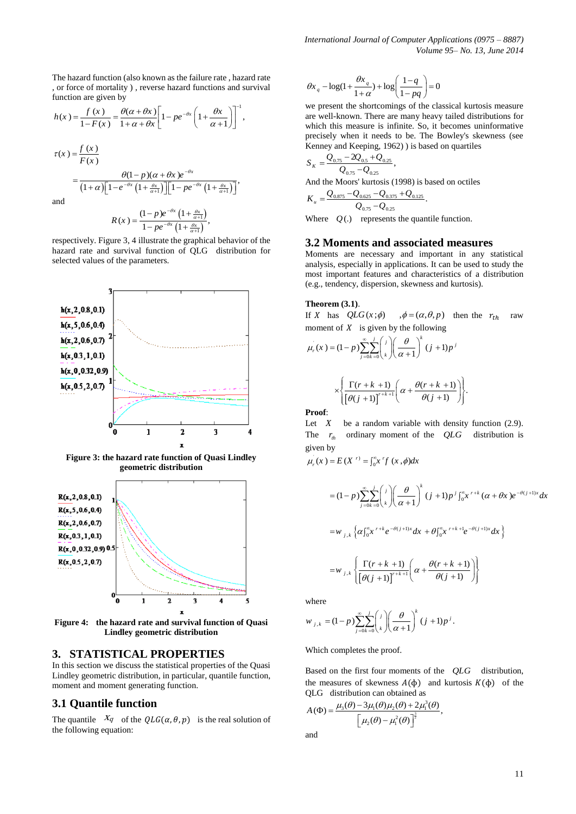The hazard function (also known as the failure rate , hazard rate , or force of mortality ) , reverse hazard functions and survival function are given by

function are given by  
\n
$$
h(x) = \frac{f(x)}{1 - F(x)} = \frac{\theta(\alpha + \theta x)}{1 + \alpha + \theta x} \left[ 1 - pe^{-\theta x} \left( 1 + \frac{\theta x}{\alpha + 1} \right) \right]^{-1},
$$
\n
$$
\tau(x) = \frac{f(x)}{F(x)}
$$
\n
$$
= \frac{\theta(1 - p)(\alpha + \theta x)e^{-\theta x}}{(1 + \alpha)\left[ 1 - e^{-\theta x} \left( 1 + \frac{\theta x}{\alpha + 1} \right) \right] \left[ 1 - pe^{-\theta x} \left( 1 + \frac{\theta x}{\alpha + 1} \right) \right]},
$$
\nand

$$
R(x) = \frac{(1-p)e^{-\theta x}\left(1+\frac{\theta x}{\alpha+1}\right)}{1-pe^{-\theta x}\left(1+\frac{\theta x}{\alpha+1}\right)},
$$

respectively. Figure 3, 4 illustrate the graphical behavior of the hazard rate and survival function of QLG distribution for selected values of the parameters.



**Figure 3: the hazard rate function of Quasi Lindley geometric distribution**



**Figure 4: the hazard rate and survival function of Quasi Lindley geometric distribution**

#### **3. STATISTICAL PROPERTIES**

In this section we discuss the statistical properties of the Quasi Lindley geometric distribution, in particular, quantile function, moment and moment generating function.

## **3.1 Quantile function**

The quantile  $X_q$  of the  $QLG(\alpha, \theta, p)$  is the real solution of the following equation:

$$
\theta x_q - \log(1 + \frac{\theta x_q}{1 + \alpha}) + \log\left(\frac{1 - q}{1 - pq}\right) = 0
$$

we present the shortcomings of the classical kurtosis measure are well-known. There are many heavy tailed distributions for which this measure is infinite. So, it becomes uninformative precisely when it needs to be. The Bowley's skewness (see Kenney and Keeping, 1962) ) is based on quartiles

$$
S_{K} = \frac{Q_{0.75} - 2Q_{0.5} + Q_{0.25}}{Q_{0.75} - Q_{0.25}},
$$
  
And the Moors' kurtosis (1998) is based on octiles  

$$
K_{u} = \frac{Q_{0.875} - Q_{0.625} - Q_{0.375} + Q_{0.125}}{Q_{0.75} - Q_{0.25}}.
$$

Where  $Q(.)$  represents the quantile function.

#### **3.2 Moments and associated measures**

Moments are necessary and important in any statistical analysis, especially in applications. It can be used to study the most important features and characteristics of a distribution (e.g., tendency, dispersion, skewness and kurtosis).

#### **Theorem (3.1)**.

If X has  $QLG(x;\phi)$  $\phi = (\alpha, \theta, p)$  then the  $r_{th}$  raw

moment of *X* is given by the following  
\n
$$
\mu_r(x) = (1-p) \sum_{j=0}^{\infty} \sum_{k=0}^{j} {j \choose k} \left( \frac{\theta}{\alpha+1} \right)^k (j+1)p^j
$$
\n
$$
\times \left\{ \frac{\Gamma(r+k+1)}{[\theta(j+1)]^{r+k+1}} \left( \alpha + \frac{\theta(r+k+1)}{\theta(j+1)} \right) \right\}.
$$

**Proof**:

Let  $X$ be a random variable with density function  $(2.9)$ . The  $r_{th}$  ordinary moment of the  $QLG$  distribution is given by en by<br>  $(x) = E(X^r) = \int_0^{\infty} x^r f(x, \phi)$ *x* ) =  $E(X^r) = \int_0^{\infty} x^r f(x, \phi) dx$ given by<br>  $\mu_r(x) = E(X^r) = \int_0^{\infty} x^r f(x, \phi) dx$ by<br>  $= E(X^r) = \int_0^{\infty} x^r f(x) dx$ 

given by  

$$
\mu_r(x) = E(X^{r}) = \int_0^{\infty} x^r f(x, \phi) dx
$$

$$
= (1-p) \sum_{j=0}^{\infty} \sum_{k=0}^{j} {j \choose k} \left(\frac{\theta}{\alpha+1}\right)^{k} (j+1) p^{j} \int_{0}^{\infty} x^{r+k} (\alpha+\theta x) e^{-\theta(j+1)x} dx
$$
  

$$
= w_{j,k} \left\{ \alpha \int_{0}^{\infty} x^{r+k} e^{-\theta(j+1)x} dx + \theta \int_{0}^{\infty} x^{r+k+1} e^{-\theta(j+1)x} dx \right\}
$$
  

$$
= w_{j,k} \left\{ \frac{\Gamma(r+k+1)}{[\theta(j+1)]^{r+k+1}} \left( \alpha + \frac{\theta(r+k+1)}{\theta(j+1)} \right) \right\}
$$

.

where

$$
w_{j,k} = (1-p) \sum_{j=0}^{\infty} \sum_{k=0}^{j} {j \choose k} \left( \frac{\theta}{\alpha+1} \right)^{k} (j+1)p^{j}.
$$

Which completes the proof.

Based on the first four moments of the *QLG* distribution, the measures of skewness  $A(\phi)$  and kurtosis  $K(\phi)$  of the

QLG distribution can obtained as  
\n
$$
A(\Phi) = \frac{\mu_3(\theta) - 3\mu_1(\theta)\mu_2(\theta) + 2\mu_1^3(\theta)}{\left[\mu_2(\theta) - \mu_1^2(\theta)\right]^{\frac{3}{2}}},
$$

and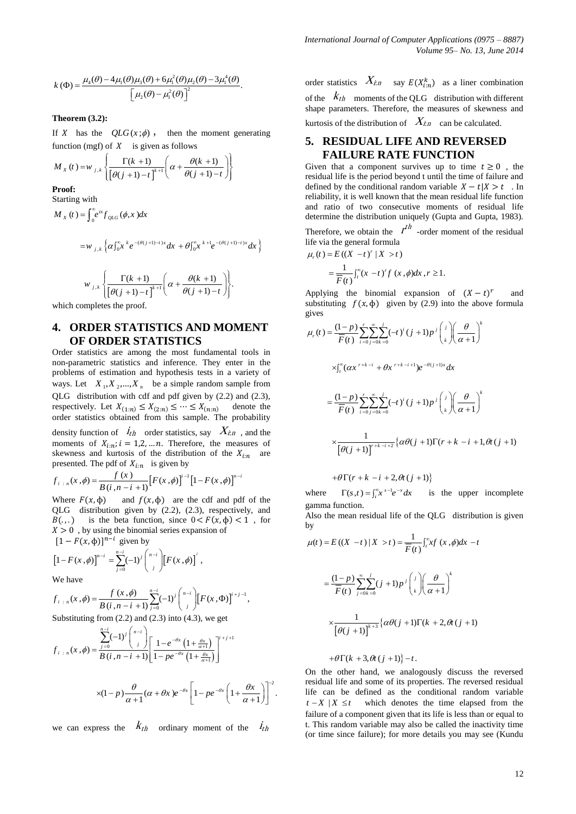$$
k(\Phi) = \frac{\mu_4(\theta) - 4\mu_1(\theta)\mu_3(\theta) + 6\mu_1^2(\theta)\mu_2(\theta) - 3\mu_1^4(\theta)}{\left[\mu_2(\theta) - \mu_1^2(\theta)\right]^2}.
$$

#### **Theorem (3.2):**

If X has the  $QLG(x; \phi)$ , then the moment generating

function (mgf) of X is given as follows  
\n
$$
M_X(t) = w_{j,k} \left\{ \frac{\Gamma(k+1)}{\left[\theta(j+1)-t\right]^{k+1}} \left(\alpha + \frac{\theta(k+1)}{\theta(j+1)-t}\right) \right\}
$$

**Proof:**

Starting with  
\n
$$
M_x(t) = \int_0^\infty e^{tx} f_{QLG}(\phi, x) dx
$$

$$
=w_{j,k}\left\{\alpha\int_{0}^{\infty}x^{k}e^{-(\theta(j+1)-t)x}dx+\theta\int_{0}^{\infty}x^{k+1}e^{-(\theta(j+1)-t)x}dx\right\}
$$

$$
w_{j,k}\left\{\frac{\Gamma(k+1)}{\left[\theta(j+1)-t\right]^{k+1}}\left(\alpha+\frac{\theta(k+1)}{\theta(j+1)-t}\right)\right\}.
$$

which completes the proof.

# **4. ORDER STATISTICS AND MOMENT OF ORDER STATISTICS**

Order statistics are among the most fundamental tools in non-parametric statistics and inference. They enter in the problems of estimation and hypothesis tests in a variety of ways. Let  $X_1, X_2, ..., X_n$  be a simple random sample from QLG distribution with cdf and pdf given by (2.2) and (2.3), respectively. Let  $X_{(1:n)} \leq X_{(2:n)} \leq \cdots \leq X_{(n:n)}$  denote the order statistics obtained from this sample. The probability density function of  $\dot{I}_{th}$  order statistics, say  $X_{t,n}$ , and the moments of  $X_{i:n}$ ;  $i = 1, 2, ... n$ . Therefore, the measures of skewness and kurtosis of the distribution of the  $X_{i:n}$  are

presented. The pdf of 
$$
X_{i:n}
$$
 is given by  
\n
$$
f_{i:n}(x,\phi) = \frac{f(x)}{B(i,n-i+1)} [F(x,\phi)]^{i-1} [1 - F(x,\phi)]^{n-i}
$$

Where  $F(x, \phi)$  and  $f(x, \phi)$  are the cdf and pdf of the QLG distribution given by (2.2), (2.3), respectively, and  $B(.,.)$  is the beta function, since  $0 < F(x, \phi) < 1$ , for  $X > 0$ , by using the binomial series expansion of  $[1 - F(x, \phi)]^{n-i}$  given by

$$
[1 - F(x, \phi)]^{n-i} = \sum_{j=0}^{n-i} (-1)^j \binom{n-i}{j} [F(x, \phi)]^j,
$$

We have

We have  
\n
$$
f_{i \; : \; n}(x, \phi) = \frac{f(x, \phi)}{B(i, n-i+1)} \sum_{j=0}^{n-i} (-1)^j \binom{n-i}{j} \left[ F(x, \Phi) \right]^{i+j-1},
$$

Substituting from (2.2) and (2.3) into (4.3), we get  
\n
$$
f_{i \; : \; n}(x, \phi) = \frac{\sum_{j=0}^{n-i} (-1)^j \binom{n-i}{j}}{B(i, n-i+1)} \left[ \frac{1 - e^{-\theta x} \left( 1 + \frac{\theta x}{\alpha + 1} \right)}{1 - pe^{-\theta x} \left( 1 + \frac{\theta x}{\alpha + 1} \right)} \right]^{i+j+1}
$$
\n
$$
\times (1-p) \frac{\theta}{\alpha + 1} (\alpha + \theta x) e^{-\theta x} \left[ 1 - pe^{-\theta x} \left( 1 + \frac{\theta x}{\alpha + 1} \right) \right]^{-2}.
$$

$$
\times (1-p) \frac{\theta}{\alpha+1} (\alpha+\theta x) e^{-\theta x} \left[1-p e^{-\theta x} \left(1+\frac{\theta x}{\alpha+1}\right)\right]^{-2}.
$$

we can express the  $k_{th}$  ordinary moment of the  $i_{th}$ 

order statistics  $X_{i:n}$  say  $E(X_{i:n}^k)$  as a liner combination of the  $K_{th}$  moments of the QLG distribution with different shape parameters. Therefore, the measures of skewness and kurtosis of the distribution of  $\chi_{in}$  can be calculated.

## **5. RESIDUAL LIFE AND REVERSED FAILURE RATE FUNCTION**

Given that a component survives up to time  $t \ge 0$ , the residual life is the period beyond t until the time of failure and defined by the conditional random variable  $X - t | X > t$ . In reliability, it is well known that the mean residual life function and ratio of two consecutive moments of residual life determine the distribution uniquely (Gupta and Gupta, 1983).

Therefore, we obtain the  $t^{th}$  -order moment of the residual

life via the general formula  
\n
$$
\mu_r(t) = E((X - t)^r | X > t)
$$
\n
$$
= \frac{1}{\overline{F}(t)} \int_t^\infty (x - t)^r f(x, φ) dx, r ≥ 1.
$$

Applying the binomial expansion of  $(X - t)^r$ and substituting  $f(x, \phi)$  given by (2.9) into the above formula gives

gives  
\n
$$
\mu_r(t) = \frac{(1-p)}{\overline{F}(t)} \sum_{i=0}^r \sum_{j=0k=0}^{\infty} (-t)^i (j+1)p^j \binom{i}{k} \left( \frac{\theta}{\alpha+1} \right)^k
$$
\n
$$
\times \int_{t}^{\infty} (\alpha x^{r+k-i} + \theta x^{r+k-i+1}) e^{-\theta(j+1)x} dx
$$
\n
$$
= \frac{(1-p)}{\overline{F}(t)} \sum_{i=0}^r \sum_{j=0k=0}^{\infty} (-t)^i (j+1)p^j \binom{i}{k} \left( \frac{\theta}{\alpha+1} \right)^k
$$
\n
$$
\times \frac{1}{\left[ \theta(j+1) \right]^{r+k-i+2}} \left\{ \alpha \theta(j+1) \Gamma(r+k-i+1, \theta t (j+1) \right\}
$$

 $+ \theta \Gamma(r + k - i + 2, \theta t (j + 1))$ 

where  $\Gamma(s,t) = \int_t^{\infty} x^{s-1} e^{-x} dx$  is the upper incomplete gamma function. Also the mean residual life of the QLG distribution is given

by

$$
\mu(t) = E((X - t) | X > t) = \frac{1}{\overline{F}(t)} \int_t^{\infty} x f(x, \phi) dx - t
$$

$$
= \frac{(1 - p)}{\overline{F}(t)} \sum_{j=0}^{\infty} \sum_{k=0}^{j} (j + 1) p^{j} {j \choose k} \left( \frac{\theta}{\alpha + 1} \right)^{k}
$$

$$
\times \frac{1}{[\theta(j + 1)]^{k+3}} \{ \alpha \theta(j + 1) \Gamma(k + 2, \theta t (j + 1))
$$

$$
+ \theta \Gamma(k + 3, \theta t (j + 1)) - t.
$$

On the other hand, we analogously discuss the reversed residual life and some of its properties. The reversed residual life can be defined as the conditional random variable  $t - X \mid X \leq t$  which denotes the time elapsed from the failure of a component given that its life is less than or equal to t. This random variable may also be called the inactivity time (or time since failure); for more details you may see (Kundu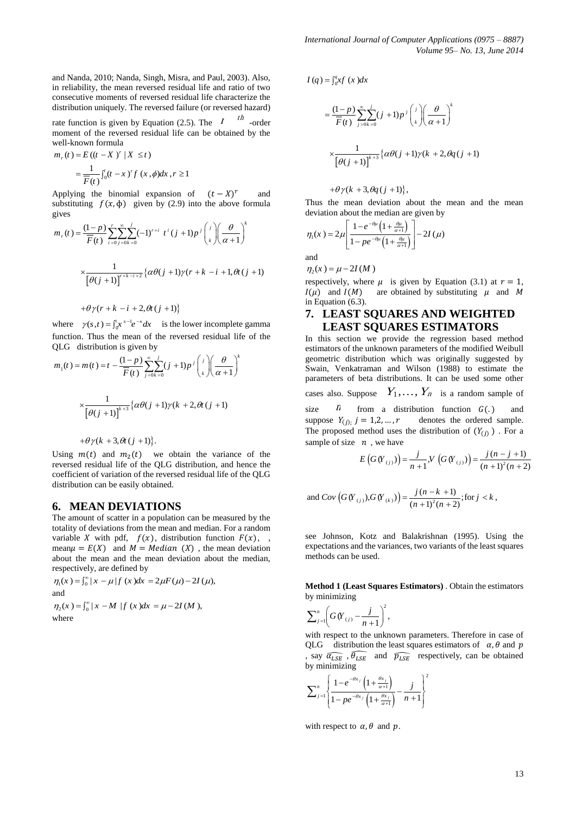and Nanda, 2010; Nanda, Singh, Misra, and Paul, 2003). Also, in reliability, the mean reversed residual life and ratio of two consecutive moments of reversed residual life characterize the distribution uniquely. The reversed failure (or reversed hazard)

rate function is given by Equation (2.5). The  $t$  <sup>th</sup> -order moment of the reversed residual life can be obtained by the

well-known formula  
\n
$$
m_r(t) = E((t - X)^r | X \le t)
$$
\n
$$
= \frac{1}{\overline{F}(t)} \int_0^t (t - x)^r f(x, \phi) dx, r \ge 1
$$

Applying the binomial expansion of  $(t-X)^r$  and substituting  $f(x, \phi)$  given by (2.9) into the above formula gives

gives  
\n
$$
m_r(t) = \frac{(1-p)}{\overline{F}(t)} \sum_{i=0}^r \sum_{j=0k+0}^{s} (-1)^{r+i} t^i (j+1) p^j \binom{j}{k} \left(\frac{\theta}{\alpha+1}\right)^k
$$
\n
$$
\times \frac{1}{\left[\theta(j+1)\right]^{r+k-i+2}} \left\{ \alpha \theta(j+1) \gamma(r+k-i+1, \theta t (j+1)) + \theta \gamma(r+k-i+2, \theta t (j+1)) \right\}
$$

where  $\gamma(s,t) = \int_0^t x^{s-1} e^{-x} dx$  is the lower incomplete gamma function. Thus the mean of the reversed residual life of the

QLG distribution is given by  
\n
$$
m_1(t) = m(t) = t - \frac{(1-p)}{\overline{F}(t)} \sum_{j=0}^{\infty} \sum_{k=0}^{j} (j+1)p^{j} \binom{j}{k} \left(\frac{\theta}{\alpha+1}\right)^{k}
$$
\n
$$
\times \frac{1}{\left[\theta(j+1)\right]^{k+3}} \left\{\alpha\theta(j+1)\gamma(k+2,\theta t (j+1))\right\}
$$

$$
+\theta \gamma (k+3,\theta t (j + 1)).
$$

Using  $m(t)$  and  $m_2(t)$  we obtain the variance of the reversed residual life of the QLG distribution, and hence the coefficient of variation of the reversed residual life of the QLG distribution can be easily obtained.

#### **6. MEAN DEVIATIONS**

The amount of scatter in a population can be measured by the totality of deviations from the mean and median. For a random variable X with pdf,  $f(x)$ , distribution function  $F(x)$ , , mean  $\mu = E(X)$  and  $M = Median(X)$ , the mean deviation about the mean and the mean deviation about the median, respectively, are defined by

respectively, are defined by<br>  $\eta_1(x) = \int_0^\infty |x - \mu| f(x) dx = 2\mu F(\mu) - 2I(\mu)$ , and and<br> $\eta_2(x) = \int_0^\infty |x - M| f(x) dx = \mu - 2I(M),$ 

where

$$
I(q) = \int_0^q xf(x)dx
$$
  
= 
$$
\frac{(1-p)}{\overline{F}(t)} \sum_{j=0}^{\infty} \sum_{k=0}^j (j+1)p^j {j \choose k} \left(\frac{\theta}{\alpha+1}\right)^k
$$
  

$$
\times \frac{1}{\left[\theta(j+1)\right]^{k+3}} \left\{\alpha\theta(j+1)\gamma(k+2, \theta q(j+1))\right\}
$$

$$
+\theta \gamma (k+3,\theta q(j+1)),
$$

Thus the mean deviation about the mean and the mean

deviation about the median are given by  
\n
$$
\eta_1(x) = 2\mu \left[ \frac{1 - e^{-\theta\mu} \left( 1 + \frac{\theta\mu}{\alpha + 1} \right)}{1 - pe^{-\theta\mu} \left( 1 + \frac{\theta\mu}{\alpha + 1} \right)} \right] - 2I(\mu)
$$
\nand

 $\eta_2(x) = \mu - 2I(M)$ 

respectively, where  $\mu$  is given by Equation (3.1) at  $r = 1$ ,  $I(\mu)$  and  $I(M)$  are obtained by substituting  $\mu$  and M in Equation (6.3).

## **7. LEAST SQUARES AND WEIGHTED LEAST SQUARES ESTIMATORS**

In this section we provide the regression based method estimators of the unknown parameters of the modified Weibull geometric distribution which was originally suggested by Swain, Venkatraman and Wilson (1988) to estimate the parameters of beta distributions. It can be used some other cases also. Suppose  $Y_1, \ldots, Y_n$  is a random sample of size  $n$  from a distribution function  $G(.)$ suppose  $Y_{(j)}$ ;  $j = 1, 2, ..., r$  denotes the ordered sample. The proposed method uses the distribution of  $(Y_{(i)})$ . For a sample of size  $n$ , we have we have<br>  $(V_{(j)}) = \frac{j}{n+1} V(G(V_{(j)})) = \frac{j(n-j+1)}{(n+1)^2(n+j+1)}$ *n*, we have<br>  $E(G(Y_{(j)})) = \frac{j}{n+1}$ ,  $V(G(Y_{(j)})) = \frac{j(n-j)}{(n+1)^2}$  $\frac{-j+1}{i}$  $=\frac{j}{n+1}V(G(Y_{(j)})=\frac{j(n+1)}{(n+1)}$ 

$$
E(G(Y_{(j)}) = \frac{j}{n+1}, V(G(Y_{(j)})) = \frac{j(n-j+1)}{(n+1)^{2}(n+2)}
$$

and 
$$
Cov(G(V_{(j)}), G(V_{(k)})) = \frac{j(n-k+1)}{(n+1)^2(n+2)}
$$
; for  $j < k$ ,

see Johnson, Kotz and Balakrishnan (1995). Using the expectations and the variances, two variants of the least squares methods can be used.

**Method 1 (Least Squares Estimators)** . Obtain the estimators by minimizing

$$
\sum_{j=1}^{n} \left( G(Y_{(j)} - \frac{j}{n+1})^{2}, \right)
$$

with respect to the unknown parameters. Therefore in case of QLG distribution the least squares estimators of  $\alpha$ ,  $\theta$  and  $p$ , say  $\widehat{\alpha_{LSE}}$ ,  $\widehat{\theta_{LSE}}$  and  $\widehat{p_{LSE}}$  respectively, can be obtained by minimizing  $\overline{2}$ 

$$
\sum_{j=1}^{n} \left\{ \frac{1 - e^{-\theta x_j} \left(1 + \frac{\theta x_j}{\alpha + 1}\right)}{1 - pe^{-\theta x_j} \left(1 + \frac{\theta x_j}{\alpha + 1}\right)} - \frac{j}{n+1} \right\}^2
$$

with respect to  $\alpha$ ,  $\theta$  and  $p$ .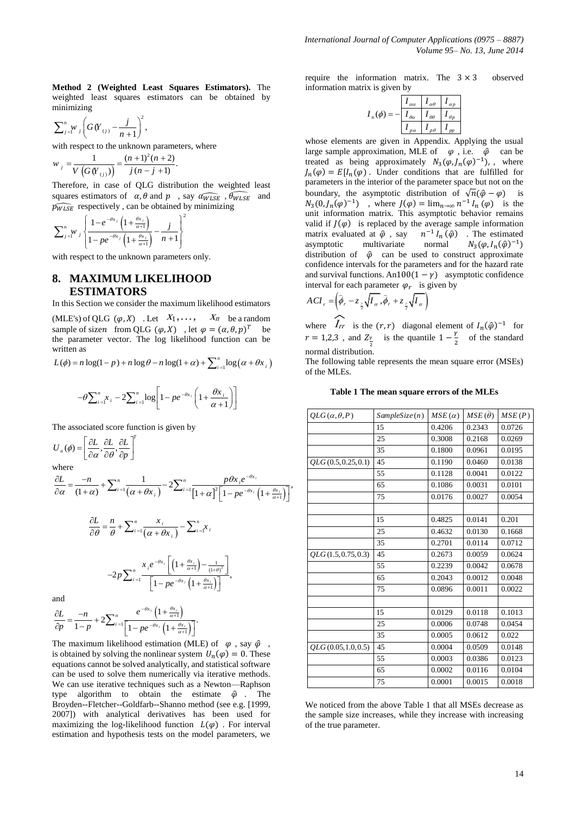**Method 2 (Weighted Least Squares Estimators).** The weighted least squares estimators can be obtained by minimizing

$$
\sum_{j=1}^{n} w_j \left( G(Y_{(j)} - \frac{j}{n+1} ) \right)^2,
$$

with respect to the unknown parameters, where<br> $w = \frac{1}{(n+1)^2(n+2)}$ 

$$
w_j = \frac{1}{V(G(Y_{(j)}))} = \frac{(n+1)^2(n+2)}{j(n-j+1)}.
$$

Therefore, in case of QLG distribution the weighted least squares estimators of  $\alpha$ ,  $\theta$  and  $p$ , say  $\widehat{a_{WLSE}}$ ,  $\widehat{\theta_{WLSE}}$  and  $\widehat{p_{WLSE}}$  respectively, can be obtained by minimizing

$$
\sum_{j=1}^{n} w_j \left\{ \frac{1 - e^{-\theta x_j} \left( 1 + \frac{\theta x_j}{\alpha + 1} \right)}{1 - pe^{-\theta x_j} \left( 1 + \frac{\theta x_j}{\alpha + 1} \right)} - \frac{j}{n+1} \right\}^2
$$

with respect to the unknown parameters only.

## **8. MAXIMUM LIKELIHOOD ESTIMATORS**

In this Section we consider the maximum likelihood estimators

(MLE's) of QLG  $(\varphi, X)$  . Let  $X_1, \ldots$ ,  $X_n$  be a random sample of sizen from QLG  $(\varphi, X)$ , let  $\varphi = (\alpha, \theta, p)^T$  be the parameter vector. The log likelihood function can be written as ritten as<br>  $(\phi) = n \log(1-p) + n \log \theta - n \log(1+\alpha) + \sum_{i=1}^{n} \log \theta$ written as<br>  $L(\phi) = n \log(1-p) + n \log \theta - n \log(1+\alpha) + \sum_{i=1}^{n} \log (\alpha + \theta x)$ itten as<br>  $\phi$ ) = n log(1 – p) + n log  $\theta$  – n log(1 +  $\alpha$ ) +  $\sum_{i=1}^{n}$ log( $\alpha + \theta x_i$ ) n as<br>=  $n \log(1-p) + n \log \theta - n \log(1+\alpha) + \sum_{i=1}^{n} \log(\alpha + \theta x_i)$ 

$$
L(\phi) = n \log(1 - p) + n \log \theta - n \log(1 + \alpha) + \sum_{i=1}^{n} \log(\alpha + \theta x_i)
$$

$$
-\theta \sum_{i=1}^{n} x_i - 2 \sum_{i=1}^{n} \log \left[ 1 - pe^{-\theta x_i} \left( 1 + \frac{\theta x_i}{\alpha + 1} \right) \right]
$$

The associated score function is given by

$$
U_{n}(\phi) = \left[\frac{\partial L}{\partial \alpha}, \frac{\partial L}{\partial \theta}, \frac{\partial L}{\partial p}\right]^{T}
$$

where

where  
\n
$$
\frac{\partial L}{\partial \alpha} = \frac{-n}{(1+\alpha)} + \sum_{i=1}^{n} \frac{1}{(\alpha+\theta x_i)} - 2 \sum_{i=1}^{n} \frac{p \theta x_i e^{-\theta x_i}}{[1+\alpha]^2 [1-p e^{-\theta x_i} (1+\frac{\theta x_i}{\alpha+1})]},
$$

<sup>1</sup>  $1 - pe^{-\theta x_i} \left( 1 + \frac{\theta x_i}{\alpha + 1} \right)$ 

 $\frac{1}{1 - pe^{-\theta x_i} \left(1\right)}$ 

 $e^{-1}$   $1-pe^{-\theta x_i}\left(1+\frac{\theta x_i}{\alpha+1}\right)$ 

 $i = 1$  **1**  $x = e^{-\theta x}$  **f 1**  $\theta x$ 

*pe*

 $\left(1+\frac{\partial x_i}{\partial x+1}\right)$ 

 $\alpha+1$   $(1+\theta$  $\frac{\partial x_i}{\partial t}\left(1+\frac{\theta_i}{\alpha}\right)$ 

*i i*

$$
\frac{\partial L}{\partial \theta} = \frac{n}{\theta} + \sum_{i=1}^{n} \frac{x_i}{(\alpha + \theta x_i)} - \sum_{i=1}^{n} x_i
$$

$$
-2p \sum_{i=1}^{n} \frac{x_i e^{-\theta x_i} \left[ \left( 1 + \frac{\theta x_i}{\alpha + 1} \right) - \frac{1}{(1 + \theta)^2} \right]}{\left[ 1 - pe^{-\theta x_i} \left( 1 + \frac{\theta x_i}{\alpha + 1} \right) \right]},
$$

and

$$
\frac{\partial L}{\partial p} = \frac{-n}{1-p} + 2\sum_{i=1}^{n} \frac{e^{-\theta x_i} \left(1 + \frac{\theta x_i}{\alpha + 1}\right)}{\left[1 - pe^{-\theta x_i} \left(1 + \frac{\theta x_i}{\alpha + 1}\right)\right]}.
$$

*p*

The maximum likelihood estimation (MLE) of  $\varphi$ , say  $\hat{\varphi}$ , is obtained by solving the nonlinear system  $U_n(\varphi) = 0$ . These equations cannot be solved analytically, and statistical software can be used to solve them numerically via iterative methods. We can use iterative techniques such as a Newton—Raphson type algorithm to obtain the estimate  $\hat{\varphi}$ . The Broyden--Fletcher--Goldfarb--Shanno method (see e.g. [1999, 2007]) with analytical derivatives has been used for maximizing the log-likelihood function  $L(\varphi)$ . For interval estimation and hypothesis tests on the model parameters, we

require the information matrix. The  $3 \times 3$  observed information matrix is given by

$$
I_n(\phi) = -\frac{\begin{vmatrix} I_{\alpha\alpha} & I_{\alpha\theta} & I_{\alpha p} \end{vmatrix}}{I_{\rho\alpha} \begin{vmatrix} I_{\rho\theta} & I_{\rho p} \end{vmatrix}}
$$

whose elements are given in Appendix. Applying the usual large sample approximation, MLE of  $\varphi$ , i.e.  $\hat{\varphi}$  can be treated as being approximately  $N_3(\varphi, J_n(\varphi)^{-1})$ , where  $J_n(\varphi) = E[I_n(\varphi)]$ . Under conditions that are fulfilled for parameters in the interior of the parameter space but not on the boundary, the asymptotic distribution of  $\sqrt{n}(\hat{\varphi}-\varphi)$  is  $N_3(0, J_n(\varphi)^{-1})$ , where  $J(\varphi) = \lim_{n \to \infty} n^{-1} I_n(\varphi)$  is the unit information matrix. This asymptotic behavior remains valid if  $J(\varphi)$  is replaced by the average sample information matrix evaluated at  $\hat{\varphi}$  , say  $^{-1}I_n(\hat{\varphi})$  . The estimated asymptotic multivariate normal  $(\hat{\varphi})^{-1})$ distribution of  $\hat{\varphi}$  can be used to construct approximate confidence intervals for the parameters and for the hazard rate and survival functions. An  $100(1 - \gamma)$  asymptotic confidence interval for each parameter  $\varphi_r$  is given by

$$
ACI_r = \left(\widehat{\boldsymbol{\phi}}_r - z_{\frac{y}{2}}\sqrt{I_r}, \widehat{\boldsymbol{\phi}}_r + z_{\frac{y}{2}}\sqrt{I_r}\right)
$$

where  $I_{rr}$  is the  $(r, r)$  diagonal element of  $I_n(\hat{\varphi})^{-1}$  for  $r = 1,2,3$ , and  $Z_{\frac{\gamma}{2}}$  is the quantile  $1 - \frac{\gamma}{3}$  normal distribution.  $\frac{r}{2}$  of the standard

The following table represents the mean square error (MSEs) of the MLEs.

#### **Table 1 The mean square errors of the MLEs**

| $QLG(\alpha,\theta,P)$ | SampleSize(n) | $MSE(\alpha)$ | $MSE(\theta)$ | MSE(P) |  |
|------------------------|---------------|---------------|---------------|--------|--|
|                        | 15            | 0.4206        | 0.2343        | 0.0726 |  |
|                        | 25            | 0.3008        | 0.2168        | 0.0269 |  |
|                        | 35            | 0.1800        | 0.0961        | 0.0195 |  |
| OLG(0.5, 0.25, 0.1)    | 45            | 0.1190        | 0.0460        | 0.0138 |  |
|                        | 55            | 0.1128        | 0.0041        | 0.0122 |  |
|                        | 65            | 0.1086        | 0.0031        | 0.0101 |  |
|                        | 75            | 0.0176        | 0.0027        | 0.0054 |  |
|                        |               |               |               |        |  |
|                        | 15            | 0.4825        | 0.0141        | 0.201  |  |
|                        | 25            | 0.4632        | 0.0130        | 0.1668 |  |
|                        | 35            | 0.2701        | 0.0114        | 0.0712 |  |
| OLG(1.5, 0.75, 0.3)    | 45            | 0.2673        | 0.0059        | 0.0624 |  |
|                        | 55            | 0.2239        | 0.0042        | 0.0678 |  |
|                        | 65            | 0.2043        | 0.0012        | 0.0048 |  |
|                        | 75            | 0.0896        | 0.0011        | 0.0022 |  |
|                        |               |               |               |        |  |
|                        | 15            | 0.0129        | 0.0118        | 0.1013 |  |
|                        | 25            | 0.0006        | 0.0748        | 0.0454 |  |
|                        | 35            | 0.0005        | 0.0612        | 0.022  |  |
| OLG(0.05, 1.0, 0.5)    | 45            | 0.0004        | 0.0509        | 0.0148 |  |
|                        | 55            | 0.0003        | 0.0386        | 0.0123 |  |
|                        | 65            | 0.0002        | 0.0116        | 0.0104 |  |
|                        | 75            | 0.0001        | 0.0015        | 0.0018 |  |

We noticed from the above Table 1 that all MSEs decrease as the sample size increases, while they increase with increasing of the true parameter.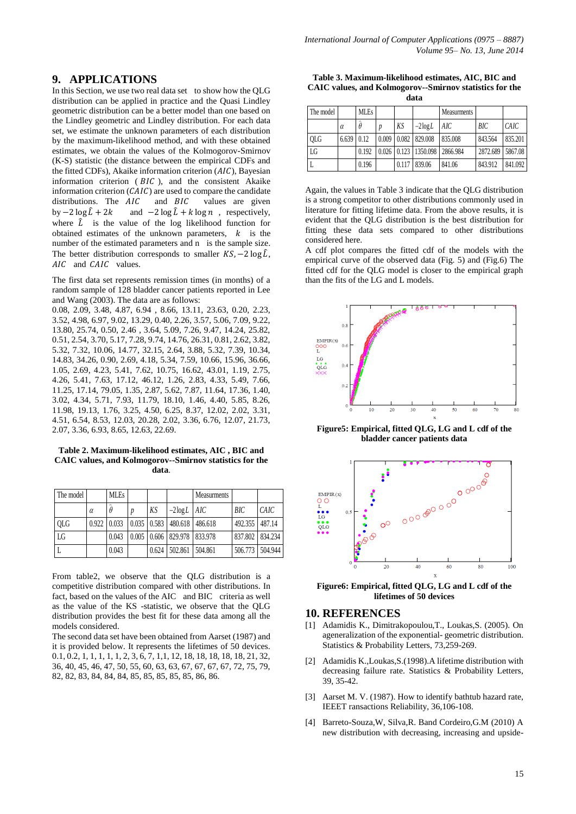## **9. APPLICATIONS**

In this Section, we use two real data set to show how the QLG distribution can be applied in practice and the Quasi Lindley geometric distribution can be a better model than one based on the Lindley geometric and Lindley distribution. For each data set, we estimate the unknown parameters of each distribution by the maximum-likelihood method, and with these obtained estimates, we obtain the values of the Kolmogorov-Smirnov (K-S) statistic (the distance between the empirical CDFs and the fitted CDFs), Akaike information criterion  $(AIC)$ , Bayesian information criterion  $(BIC)$ , and the consistent Akaike information criterion  $(CAIC)$  are used to compare the candidate distributions. The  $AIC$  and  $BIC$  values are given by  $-2 \log \hat{L} + 2k$  and  $-2 \log \hat{L} + k \log n$ , respectively, where  $\hat{L}$  is the value of the log likelihood function for obtained estimates of the unknown parameters,  $k$  is the number of the estimated parameters and n is the sample size. The better distribution corresponds to smaller  $KS$ ,  $-2 \log \hat{L}$ , AIC and CAIC values.

The first data set represents remission times (in months) of a random sample of 128 bladder cancer patients reported in Lee and Wang (2003). The data are as follows:

0.08, 2.09, 3.48, 4.87, 6.94 , 8.66, 13.11, 23.63, 0.20, 2.23, 3.52, 4.98, 6.97, 9.02, 13.29, 0.40, 2.26, 3.57, 5.06, 7.09, 9.22, 13.80, 25.74, 0.50, 2.46 , 3.64, 5.09, 7.26, 9.47, 14.24, 25.82, 0.51, 2.54, 3.70, 5.17, 7.28, 9.74, 14.76, 26.31, 0.81, 2.62, 3.82, 5.32, 7.32, 10.06, 14.77, 32.15, 2.64, 3.88, 5.32, 7.39, 10.34, 14.83, 34.26, 0.90, 2.69, 4.18, 5.34, 7.59, 10.66, 15.96, 36.66, 1.05, 2.69, 4.23, 5.41, 7.62, 10.75, 16.62, 43.01, 1.19, 2.75, 4.26, 5.41, 7.63, 17.12, 46.12, 1.26, 2.83, 4.33, 5.49, 7.66, 11.25, 17.14, 79.05, 1.35, 2.87, 5.62, 7.87, 11.64, 17.36, 1.40, 3.02, 4.34, 5.71, 7.93, 11.79, 18.10, 1.46, 4.40, 5.85, 8.26, 11.98, 19.13, 1.76, 3.25, 4.50, 6.25, 8.37, 12.02, 2.02, 3.31, 4.51, 6.54, 8.53, 12.03, 20.28, 2.02, 3.36, 6.76, 12.07, 21.73, 2.07, 3.36, 6.93, 8.65, 12.63, 22.69.

#### **Table 2. Maximum-likelihood estimates, AIC , BIC and CAIC values, and Kolmogorov--Smirnov statistics for the data**.

| The model  |          | <b>MLEs</b> |                  |       |                                              | <b>Measurments</b> |                |                   |
|------------|----------|-------------|------------------|-------|----------------------------------------------|--------------------|----------------|-------------------|
|            | $\alpha$ | $\theta$    | $\boldsymbol{v}$ | KS    | $-2\log L$   AIC                             |                    | BIC            | CAIC              |
| <b>OLG</b> | 0.922    | 0.033       |                  |       | $0.035 \mid 0.583 \mid 480.618 \mid$         | 486.618            | 492.355 487.14 |                   |
| LG         |          | 0.043       |                  |       | $0.005 \mid 0.606 \mid 829.978 \mid 833.978$ |                    |                | 837.802   834.234 |
|            |          | 0.043       |                  | 0.624 | 502.861                                      | 504.861            |                | 506.773   504.944 |

From table2, we observe that the QLG distribution is a competitive distribution compared with other distributions. In fact, based on the values of the AIC and BIC criteria as well as the value of the KS -statistic, we observe that the QLG distribution provides the best fit for these data among all the models considered.

The second data set have been obtained from Aarset (1987) and it is provided below. It represents the lifetimes of 50 devices. 0.1, 0.2, 1, 1, 1, 1, 1, 2, 3, 6, 7, 1,1, 12, 18, 18, 18, 18, 18, 21, 32, 36, 40, 45, 46, 47, 50, 55, 60, 63, 63, 67, 67, 67, 67, 72, 75, 79, 82, 82, 83, 84, 84, 84, 85, 85, 85, 85, 85, 86, 86.

**Table 3. Maximum-likelihood estimates, AIC, BIC and CAIC values, and Kolmogorov--Smirnov statistics for the data**

| The model  |                   | <b>MLEs</b> |       |       |                                       | <b>Measurments</b> |          |         |
|------------|-------------------|-------------|-------|-------|---------------------------------------|--------------------|----------|---------|
|            | $\alpha$          | $\theta$    |       | KS    | $-2\log L$                            | AIC                | BІC      | CAIC    |
| <b>OLG</b> | $6.639 \mid 0.12$ |             | 0.009 |       | $0.082$   829.008                     | 835.008            | 843.564  | 835.201 |
| LG         |                   | 0.192       |       |       | $0.026$   0.123   1350.098   2866.984 |                    | 2872.689 | 5867.08 |
|            |                   | 0.196       |       | 0.117 | 839.06                                | 841.06             | 843.912  | 841.092 |

Again, the values in Table 3 indicate that the QLG distribution is a strong competitor to other distributions commonly used in literature for fitting lifetime data. From the above results, it is evident that the QLG distribution is the best distribution for fitting these data sets compared to other distributions considered here.

A cdf plot compares the fitted cdf of the models with the empirical curve of the observed data (Fig. 5) and (Fig.6) The fitted cdf for the QLG model is closer to the empirical graph than the fits of the LG and L models.



**Figure5: Empirical, fitted QLG, LG and L cdf of the bladder cancer patients data**



**Figure6: Empirical, fitted QLG, LG and L cdf of the lifetimes of 50 devices**

#### **10. REFERENCES**

- [1] Adamidis K., Dimitrakopoulou,T., Loukas,S. (2005). On ageneralization of the exponential- geometric distribution. Statistics & Probability Letters, 73,259-269.
- [2] Adamidis K.,Loukas,S.(1998).A lifetime distribution with decreasing failure rate. Statistics & Probability Letters, 39, 35-42.
- [3] Aarset M. V. (1987). How to identify bathtub hazard rate, IEEET ransactions Reliability, 36,106-108.
- [4] Barreto-Souza,W, Silva,R. Band Cordeiro,G.M (2010) A new distribution with decreasing, increasing and upside-